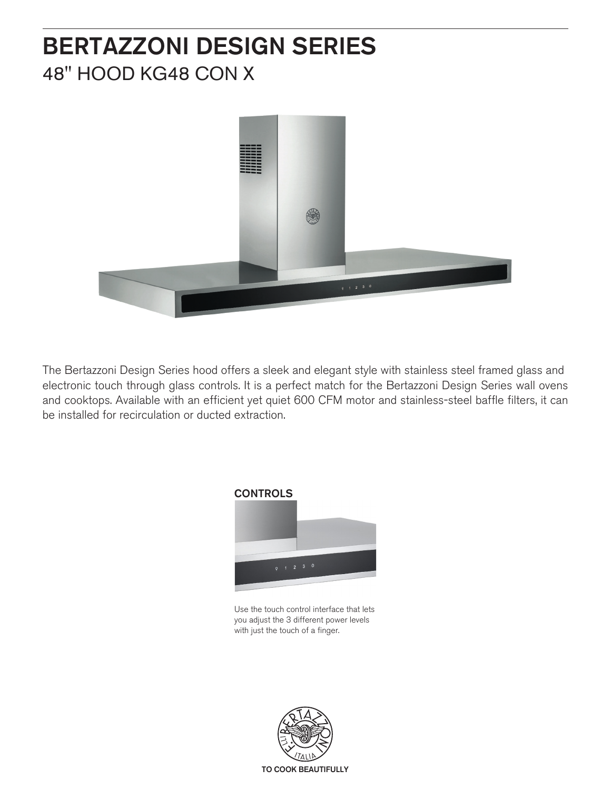# BERTAZZONI DESIGN SERIES 48" HOOD KG48 CON X



The Bertazzoni Design Series hood offers a sleek and elegant style with stainless steel framed glass and electronic touch through glass controls. It is a perfect match for the Bertazzoni Design Series wall ovens and cooktops. Available with an efficient yet quiet 600 CFM motor and stainless-steel baffle filters, it can be installed for recirculation or ducted extraction.



Use the touch control interface that lets you adjust the 3 different power levels with just the touch of a finger.